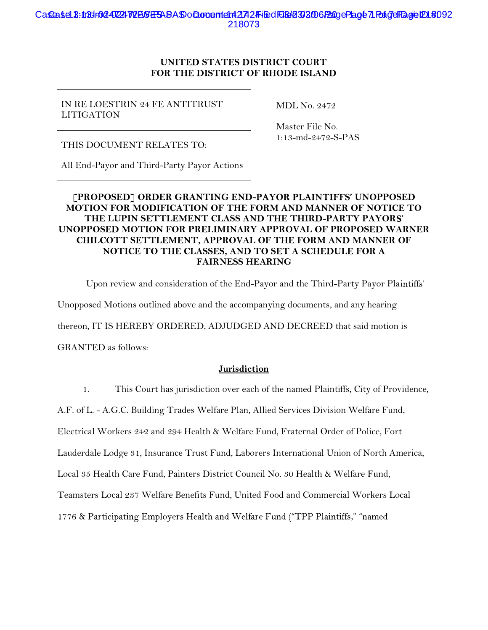## Casea sel 3:1034r024-WZEN ESAS Do Cloro entent 2742 Filed FOGH232006 Page Plage 7 Pange Fage ID18092 218073

## UNITED STATES DISTRICT COURT FOR THE DISTRICT OF RHODE ISLAND

## IN RE LOESTRIN 24 FE ANTITRUST LITIGATION

MDL No. 2472

THIS DOCUMENT RELATES TO:

Master File No. 1:13-md-2472-S-PAS

All End-Payor and Third-Party Payor Actions

## [PROPOSED] ORDER GRANTING END-PAYOR PLAINTIFFS' UNOPPOSED MOTION FOR MODIFICATION OF THE FORM AND MANNER OF NOTICE TO THE LUPIN SETTLEMENT CLASS AND THE THIRD-PARTY PAYORS' UNOPPOSED MOTION FOR PRELIMINARY APPROVAL OF PROPOSED WARNER CHILCOTT SETTLEMENT, APPROVAL OF THE FORM AND MANNER OF NOTICE TO THE CLASSES, AND TO SET A SCHEDULE FOR A FAIRNESS HEARING

Upon review and consideration of the End-Payor and the Third-Party Payor Plaintiffs' Unopposed Motions outlined above and the accompanying documents, and any hearing thereon, IT IS HEREBY ORDERED, ADJUDGED AND DECREED that said motion is GRANTED as follows:

## Jurisdiction

1. This Court has jurisdiction over each of the named Plaintiffs, City of Providence,

A.F. of L. - A.G.C. Building Trades Welfare Plan, Allied Services Division Welfare Fund,

Electrical Workers 242 and 294 Health & Welfare Fund, Fraternal Order of Police, Fort

Lauderdale Lodge 31, Insurance Trust Fund, Laborers International Union of North America,

Local 35 Health Care Fund, Painters District Council No. 30 Health & Welfare Fund,

Teamsters Local 237 Welfare Benefits Fund, United Food and Commercial Workers Local

1776 & Participating Employers Health and Welfare Fund ("TPP Plaintiffs," "named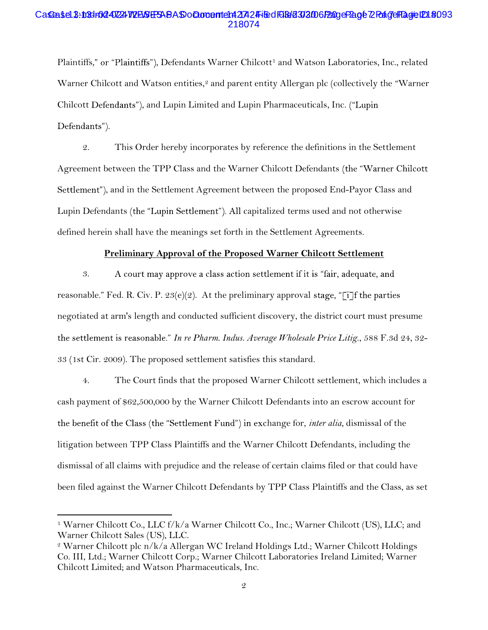### Casea sel 3:103dr024-07224 W2BSGEBABAS o Cloro entent 2742 Filed FOGH23006 P2age P2age 72 Page FBage ID1 # : 093 218074

Plaintiffs," or "Plaintiffs"), Defendants Warner Chilcott<sup>1</sup> and Watson Laboratories, Inc., related Warner Chilcott and Watson entities,<sup>2</sup> and parent entity Allergan plc (collectively the "Warner" Chilcott Defendants"), and Lupin Limited and Lupin Pharmaceuticals, Inc. ("Lupin Defendants").

2. This Order hereby incorporates by reference the definitions in the Settlement Agreement between the TPP Class and the Warner Chilcott Defendants Settlement"), and in the Settlement Agreement between the proposed End-Payor Class and Lupin Defendants (the "Lupin Settlement"). All capitalized terms used and not otherwise defined herein shall have the meanings set forth in the Settlement Agreements.

### Preliminary Approval of the Proposed Warner Chilcott Settlement

3. A court may approve a class action settlement if it is "fair, adequate, and reasonable." Fed. R. Civ. P. 23(e)(2). At the preliminary approval stage, "[i] f the parties negotiated at arm's length and conducted sufficient discovery, the district court must presume the settlement is reasonable." In re Pharm. Indus. Average Wholesale Price Litig., 588 F.3d 24, 32-33 (1st Cir. 2009). The proposed settlement satisfies this standard.

4. The Court finds that the proposed Warner Chilcott settlement, which includes a cash payment of \$62,500,000 by the Warner Chilcott Defendants into an escrow account for the benefit of the Class (the "Settlement Fund") in exchange for, *inter alia*, dismissal of the litigation between TPP Class Plaintiffs and the Warner Chilcott Defendants, including the dismissal of all claims with prejudice and the release of certain claims filed or that could have been filed against the Warner Chilcott Defendants by TPP Class Plaintiffs and the Class, as set

 $\overline{a}$ 

<sup>&</sup>lt;sup>1</sup> Warner Chilcott Co., LLC f/k/a Warner Chilcott Co., Inc.; Warner Chilcott (US), LLC; and Warner Chilcott Sales (US), LLC.

<sup>2</sup> Warner Chilcott plc n/k/a Allergan WC Ireland Holdings Ltd.; Warner Chilcott Holdings Co. III, Ltd.; Warner Chilcott Corp.; Warner Chilcott Laboratories Ireland Limited; Warner Chilcott Limited; and Watson Pharmaceuticals, Inc.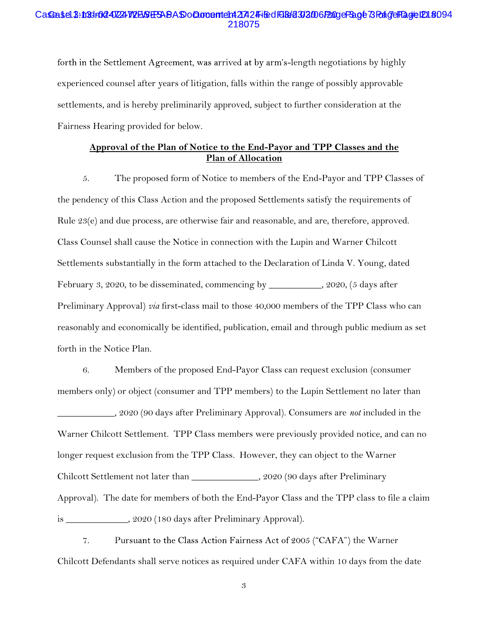# Ca**se**ase13:10dr0<mark>2472472E56F9ABADoCumente1427</mark>24Filed F0682302006P2ageP3age 73 PageIP046994<br>218075

forth in the Settlement Agreement, was arrived at by arm's-length negotiations by highly experienced counsel after years of litigation, falls within the range of possibly approvable settlements, and is hereby preliminarily approved, subject to further consideration at the Fairness Hearing provided for below.

## Approval of the Plan of Notice to the End-Payor and TPP Classes and the Plan of Allocation

5. The proposed form of Notice to members of the End-Payor and TPP Classes of the pendency of this Class Action and the proposed Settlements satisfy the requirements of Rule 23(e) and due process, are otherwise fair and reasonable, and are, therefore, approved. Class Counsel shall cause the Notice in connection with the Lupin and Warner Chilcott Settlements substantially in the form attached to the Declaration of Linda V. Young, dated February 3, 2020, to be disseminated, commencing by \_\_\_\_\_\_\_\_\_\_\_, 2020, (5 days after Preliminary Approval) *via* first-class mail to those 40,000 members of the TPP Class who can reasonably and economically be identified, publication, email and through public medium as set forth in the Notice Plan.

6. Members of the proposed End-Payor Class can request exclusion (consumer members only) or object (consumer and TPP members) to the Lupin Settlement no later than 2020 (90 days after Preliminary Approval). Consumers are *not* included in the Warner Chilcott Settlement. TPP Class members were previously provided notice, and can no longer request exclusion from the TPP Class. However, they can object to the Warner Chilcott Settlement not later than \_\_\_\_\_\_\_\_\_\_\_\_\_\_, 2020 (90 days after Preliminary Approval). The date for members of both the End-Payor Class and the TPP class to file a claim is \_\_\_\_\_\_\_\_\_\_\_\_\_, 2020 (180 days after Preliminary Approval).

7. Pursuant to the Class Action Fairness Act of 2005 ("CAFA") the Warner Chilcott Defendants shall serve notices as required under CAFA within 10 days from the date

3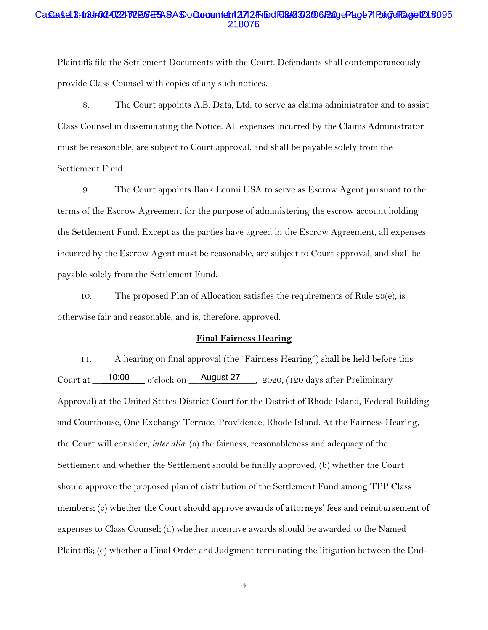### Casea 1:13d=02472472BSEBABAS o cument e1 427 2 Filed Füld 303006 Page Page 74 Page Flagte 120 8095 218076

Plaintiffs file the Settlement Documents with the Court. Defendants shall contemporaneously provide Class Counsel with copies of any such notices.

8. The Court appoints A.B. Data, Ltd. to serve as claims administrator and to assist Class Counsel in disseminating the Notice. All expenses incurred by the Claims Administrator must be reasonable, are subject to Court approval, and shall be payable solely from the Settlement Fund.

9. The Court appoints Bank Leumi USA to serve as Escrow Agent pursuant to the terms of the Escrow Agreement for the purpose of administering the escrow account holding the Settlement Fund. Except as the parties have agreed in the Escrow Agreement, all expenses incurred by the Escrow Agent must be reasonable, are subject to Court approval, and shall be payable solely from the Settlement Fund.

10. The proposed Plan of Allocation satisfies the requirements of Rule  $23(e)$ , is otherwise fair and reasonable, and is, therefore, approved.

#### Final Fairness Hearing

11. A hearing on final approval (the "Fairness Hearing") shall be held before this Court at  $\frac{10:00}{\sigma}$  o'clock on  $\frac{\text{August 27}}{\sigma}$ , 2020, (120 days after Preliminary Approval) at the United States District Court for the District of Rhode Island, Federal Building and Courthouse, One Exchange Terrace, Providence, Rhode Island. At the Fairness Hearing, the Court will consider, inter alia: (a) the fairness, reasonableness and adequacy of the Settlement and whether the Settlement should be finally approved; (b) whether the Court should approve the proposed plan of distribution of the Settlement Fund among TPP Class members; (c) whether the Court should approve awards of attorneys' fees and reimbursement of expenses to Class Counsel; (d) whether incentive awards should be awarded to the Named Plaintiffs; (e) whether a Final Order and Judgment terminating the litigation between the End-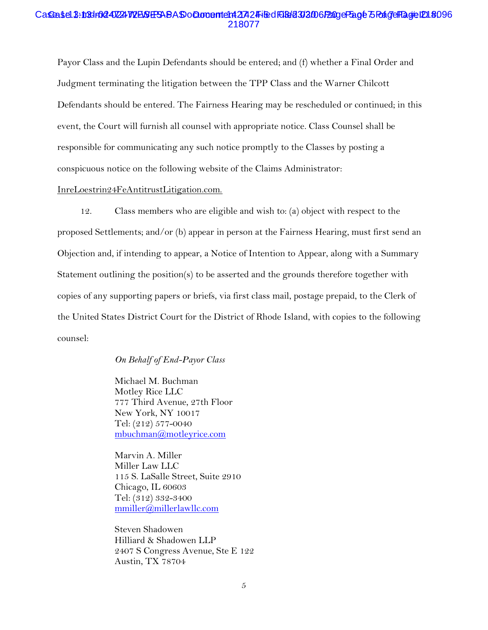#### Casea Sen 13-ind 1024-0224 W2B&E53ABAS of Doment enter 2742 Filed 1618/213/2006 Page Fage 5 PaigelPage ID1 \$096 218077

Payor Class and the Lupin Defendants should be entered; and (f) whether a Final Order and Judgment terminating the litigation between the TPP Class and the Warner Chilcott Defendants should be entered. The Fairness Hearing may be rescheduled or continued; in this event, the Court will furnish all counsel with appropriate notice. Class Counsel shall be responsible for communicating any such notice promptly to the Classes by posting a conspicuous notice on the following website of the Claims Administrator:

### InreLoestrin24FeAntitrustLitigation.com.

12. Class members who are eligible and wish to: (a) object with respect to the proposed Settlements; and/or (b) appear in person at the Fairness Hearing, must first send an Objection and, if intending to appear, a Notice of Intention to Appear, along with a Summary Statement outlining the position(s) to be asserted and the grounds therefore together with copies of any supporting papers or briefs, via first class mail, postage prepaid, to the Clerk of the United States District Court for the District of Rhode Island, with copies to the following counsel:

#### On Behalf of End-Payor Class

Michael M. Buchman Motley Rice LLC 777 Third Avenue, 27th Floor New York, NY 10017 Tel: (212) 577-0040 mbuchman@motleyrice.com

Marvin A. Miller Miller Law LLC 115 S. LaSalle Street, Suite 2910 Chicago, IL 60603 Tel: (312) 332-3400 mmiller@millerlawllc.com

Steven Shadowen Hilliard & Shadowen LLP 2407 S Congress Avenue, Ste E 122 Austin, TX 78704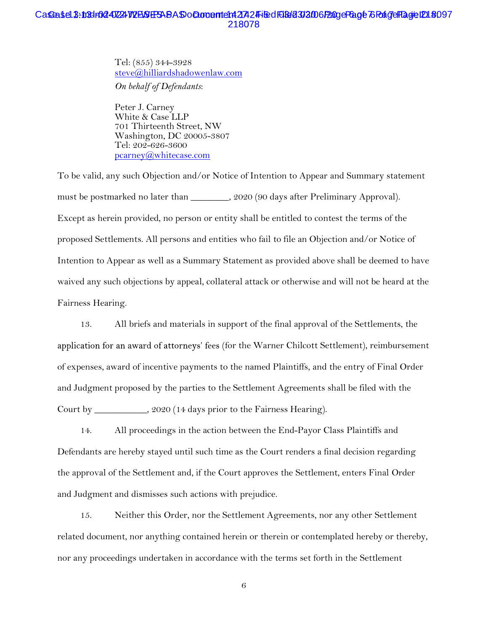## CasGeaste1.3:103dr02407224772E634E5ABASDoQuomente1n4217424Filed F013d2032006f2ageF8age 76 PaigeH2ageID1.8097 218078

Tel: (855) 344-3928 steve@hilliardshadowenlaw.com

On behalf of Defendants:

Peter J. Carney White & Case LLP 701 Thirteenth Street, NW Washington, DC 20005-3807 Tel: 202-626-3600 pcarney@whitecase.com

To be valid, any such Objection and/or Notice of Intention to Appear and Summary statement must be postmarked no later than \_\_\_\_\_\_\_, 2020 (90 days after Preliminary Approval). Except as herein provided, no person or entity shall be entitled to contest the terms of the proposed Settlements. All persons and entities who fail to file an Objection and/or Notice of Intention to Appear as well as a Summary Statement as provided above shall be deemed to have waived any such objections by appeal, collateral attack or otherwise and will not be heard at the Fairness Hearing.

13. All briefs and materials in support of the final approval of the Settlements, the application for an award of attorneys' fees (for the Warner Chilcott Settlement), reimbursement of expenses, award of incentive payments to the named Plaintiffs, and the entry of Final Order and Judgment proposed by the parties to the Settlement Agreements shall be filed with the Court by \_\_\_\_\_\_\_\_\_\_\_, 2020 (14 days prior to the Fairness Hearing).

14. All proceedings in the action between the End-Payor Class Plaintiffs and Defendants are hereby stayed until such time as the Court renders a final decision regarding the approval of the Settlement and, if the Court approves the Settlement, enters Final Order and Judgment and dismisses such actions with prejudice.

15. Neither this Order, nor the Settlement Agreements, nor any other Settlement related document, nor anything contained herein or therein or contemplated hereby or thereby, nor any proceedings undertaken in accordance with the terms set forth in the Settlement

6